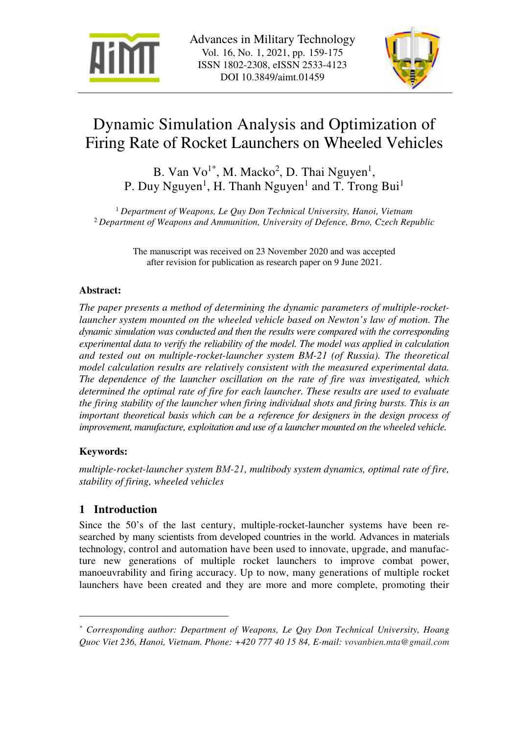



# Dynamic Simulation Analysis and Optimization of Firing Rate of Rocket Launchers on Wheeled Vehicles

B. Van  $\text{Vo}^{1*}$ , M. Macko<sup>2</sup>, D. Thai Nguyen<sup>1</sup>, P. Duy Nguyen<sup>1</sup>, H. Thanh Nguyen<sup>1</sup> and T. Trong Bui<sup>1</sup>

<sup>1</sup> *Department of Weapons, Le Quy Don Technical University, Hanoi, Vietnam*  <sup>2</sup>*Department of Weapons and Ammunition, University of Defence, Brno, Czech Republic* 

> The manuscript was received on 23 November 2020 and was accepted after revision for publication as research paper on 9 June 2021.

# **Abstract:**

*The paper presents a method of determining the dynamic parameters of multiple-rocketlauncher system mounted on the wheeled vehicle based on Newton's law of motion. The dynamic simulation was conducted and then the results were compared with the corresponding experimental data to verify the reliability of the model. The model was applied in calculation and tested out on multiple-rocket-launcher system BМ-21 (of Russia). The theoretical model calculation results are relatively consistent with the measured experimental data. The dependence of the launcher oscillation on the rate of fire was investigated, which determined the optimal rate of fire for each launcher. These results are used to evaluate the firing stability of the launcher when firing individual shots and firing bursts. This is an important theoretical basis which can be a reference for designers in the design process of improvement, manufacture, exploitation and use of a launcher mounted on the wheeled vehicle.* 

## **Keywords:**

 $\overline{a}$ 

*multiple-rocket-launcher system BМ-21, multibody system dynamics, optimal rate of fire, stability of firing, wheeled vehicles* 

# **1 Introduction**

Since the 50's of the last century, multiple-rocket-launcher systems have been researched by many scientists from developed countries in the world. Advances in materials technology, control and automation have been used to innovate, upgrade, and manufacture new generations of multiple rocket launchers to improve combat power, manoeuvrability and firing accuracy. Up to now, many generations of multiple rocket launchers have been created and they are more and more complete, promoting their

*<sup>\*</sup> Corresponding author: Department of Weapons, Le Quy Don Technical University, Hoang Quoc Viet 236, Hanoi, Vietnam. Phone: +420 777 40 15 84, E-mail: vovanbien.mta@gmail.com*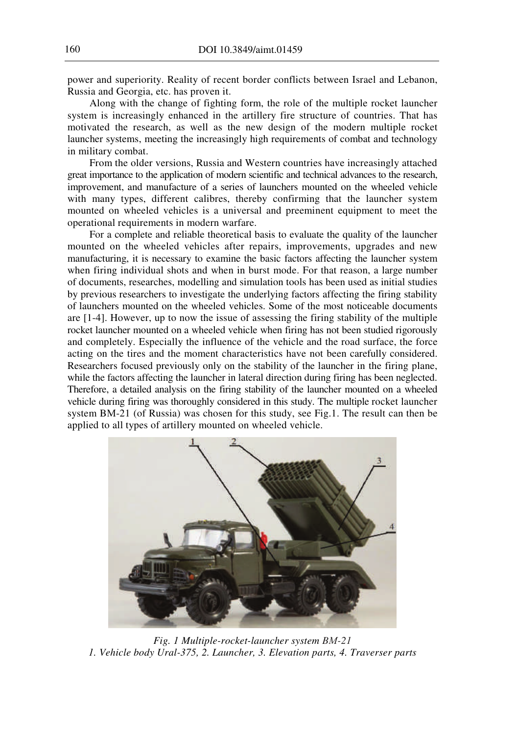power and superiority. Reality of recent border conflicts between Israel and Lebanon, Russia and Georgia, etc. has proven it.

Along with the change of fighting form, the role of the multiple rocket launcher system is increasingly enhanced in the artillery fire structure of countries. That has motivated the research, as well as the new design of the modern multiple rocket launcher systems, meeting the increasingly high requirements of combat and technology in military combat.

From the older versions, Russia and Western countries have increasingly attached great importance to the application of modern scientific and technical advances to the research, improvement, and manufacture of a series of launchers mounted on the wheeled vehicle with many types, different calibres, thereby confirming that the launcher system mounted on wheeled vehicles is a universal and preeminent equipment to meet the operational requirements in modern warfare.

For a complete and reliable theoretical basis to evaluate the quality of the launcher mounted on the wheeled vehicles after repairs, improvements, upgrades and new manufacturing, it is necessary to examine the basic factors affecting the launcher system when firing individual shots and when in burst mode. For that reason, a large number of documents, researches, modelling and simulation tools has been used as initial studies by previous researchers to investigate the underlying factors affecting the firing stability of launchers mounted on the wheeled vehicles. Some of the most noticeable documents are [1-4]. However, up to now the issue of assessing the firing stability of the multiple rocket launcher mounted on a wheeled vehicle when firing has not been studied rigorously and completely. Especially the influence of the vehicle and the road surface, the force acting on the tires and the moment characteristics have not been carefully considered. Researchers focused previously only on the stability of the launcher in the firing plane, while the factors affecting the launcher in lateral direction during firing has been neglected. Therefore, a detailed analysis on the firing stability of the launcher mounted on a wheeled vehicle during firing was thoroughly considered in this study. The multiple rocket launcher system BМ-21 (of Russia) was chosen for this study, see Fig.1. The result can then be applied to all types of artillery mounted on wheeled vehicle.



*Fig. 1 Multiple-rocket-launcher system BМ-21 1. Vehicle body Ural-375, 2. Launcher, 3. Elevation parts, 4. Traverser parts*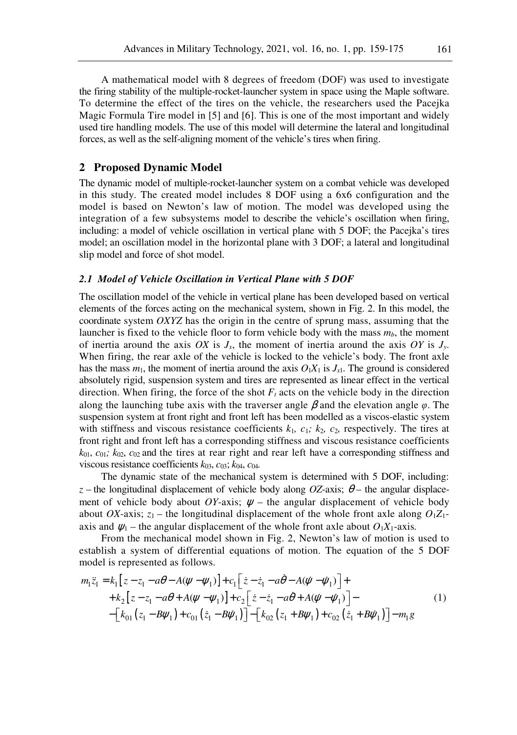#### **2 Proposed Dynamic Model**

The dynamic model of multiple-rocket-launcher system on a combat vehicle was developed in this study. The created model includes 8 DOF using a 6x6 configuration and the model is based on Newton's law of motion. The model was developed using the integration of a few subsystems model to describe the vehicle's oscillation when firing, including: a model of vehicle oscillation in vertical plane with 5 DOF; the Pacejka's tires model; an oscillation model in the horizontal plane with 3 DOF; a lateral and longitudinal slip model and force of shot model.

#### *2.1 Model of Vehicle Oscillation in Vertical Plane with 5 DOF*

forces, as well as the self-aligning moment of the vehicle's tires when firing.

The oscillation model of the vehicle in vertical plane has been developed based on vertical elements of the forces acting on the mechanical system, shown in Fig. 2. In this model, the coordinate system *OXYZ* has the origin in the centre of sprung mass, assuming that the launcher is fixed to the vehicle floor to form vehicle body with the mass *mb*, the moment of inertia around the axis *OX* is  $J_x$ , the moment of inertia around the axis *OY* is  $J_y$ . When firing, the rear axle of the vehicle is locked to the vehicle's body. The front axle has the mass  $m_1$ , the moment of inertia around the axis  $O_1X_1$  is  $J_{x1}$ . The ground is considered absolutely rigid, suspension system and tires are represented as linear effect in the vertical direction. When firing, the force of the shot  $F_t$  acts on the vehicle body in the direction along the launching tube axis with the traverser angle  $\beta$  and the elevation angle  $\varphi$ . The suspension system at front right and front left has been modelled as a viscos-elastic system with stiffness and viscous resistance coefficients  $k_1$ ,  $c_1$ ;  $k_2$ ,  $c_2$ , respectively. The tires at front right and front left has a corresponding stiffness and viscous resistance coefficients  $k_{01}$ ,  $c_{01}$ ;  $k_{02}$ ,  $c_{02}$  and the tires at rear right and rear left have a corresponding stiffness and viscous resistance coefficients *k*03, *c*03; *k*04, *c*04*.* 

The dynamic state of the mechanical system is determined with 5 DOF, including:  $z$  – the longitudinal displacement of vehicle body along *OZ*-axis;  $\theta$  – the angular displacement of vehicle body about *OY*-axis;  $\psi$  – the angular displacement of vehicle body about *OX*-axis;  $z_1$  – the longitudinal displacement of the whole front axle along  $O_1Z_1$ axis and  $\psi_1$  – the angular displacement of the whole front axle about  $O_1X_1$ -axis.

From the mechanical model shown in Fig. 2, Newton's law of motion is used to establish a system of differential equations of motion. The equation of the 5 DOF model is represented as follows.

$$
m_1\ddot{z}_1 = k_1 \left[ z - z_1 - a\theta - A(\psi - \psi_1) \right] + c_1 \left[ \dot{z} - \dot{z}_1 - a\dot{\theta} - A(\dot{\psi} - \dot{\psi}_1) \right] + + k_2 \left[ z - z_1 - a\theta + A(\psi - \psi_1) \right] + c_2 \left[ \dot{z} - \dot{z}_1 - a\dot{\theta} + A(\dot{\psi} - \dot{\psi}_1) \right] - - \left[ k_{01} \left( z_1 - B\psi_1 \right) + c_{01} \left( \dot{z}_1 - B\dot{\psi}_1 \right) \right] - \left[ k_{02} \left( z_1 + B\psi_1 \right) + c_{02} \left( \dot{z}_1 + B\dot{\psi}_1 \right) \right] - m_1 g
$$
\n(1)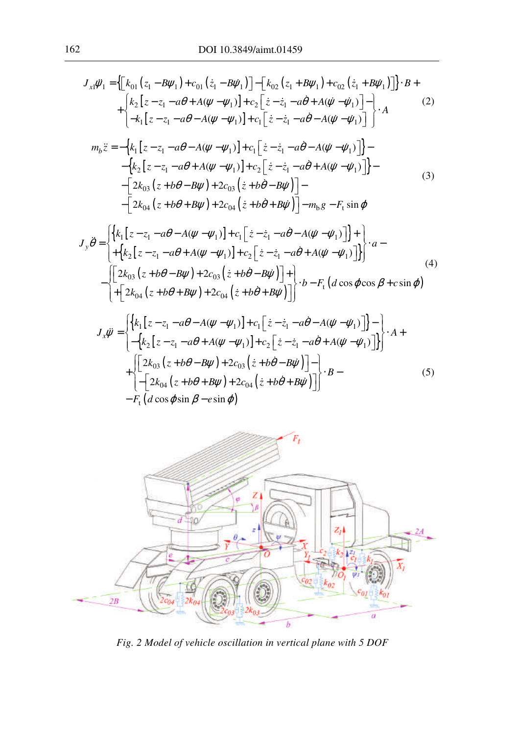$$
J_{x1}\ddot{\psi}_{1} = \left\{ \left[ k_{01} (z_{1} - B\psi_{1}) + c_{01} (\dot{z}_{1} - B\dot{\psi}_{1}) \right] - \left[ k_{02} (z_{1} + B\psi_{1}) + c_{02} (\dot{z}_{1} + B\dot{\psi}_{1}) \right] \right\} \cdot B +
$$
  
+ 
$$
\left\{ k_{2} [z - z_{1} - a\theta + A(\psi - \psi_{1})] + c_{2} \left[ \dot{z} - \dot{z}_{1} - a\dot{\theta} + A(\dot{\psi} - \dot{\psi}_{1}) \right] - \right\} \cdot A
$$
  

$$
m_{b}\ddot{z} = -\left\{ k_{1} [z - z_{1} - a\theta - A(\psi - \psi_{1})] + c_{1} \left[ \dot{z} - \dot{z}_{1} - a\dot{\theta} - A(\dot{\psi} - \dot{\psi}_{1}) \right] \right\} -
$$

$$
- \left\{ k_{2} [z - z_{1} - a\theta + A(\psi - \psi_{1})] + c_{2} \left[ \dot{z} - \dot{z}_{1} - a\dot{\theta} + A(\dot{\psi} - \dot{\psi}_{1}) \right] \right\} -
$$

$$
- \left[ 2k_{03} (z + b\theta - B\psi) + 2c_{03} (\dot{z} + b\dot{\theta} - B\dot{\psi}) \right] -
$$

$$
- \left[ 2k_{04} (z + b\theta + B\psi) + 2c_{04} (\dot{z} + b\dot{\theta} + B\dot{\psi}) \right] - m_{b} g - F_{t} \sin \phi
$$
  

$$
m_{b}\ddot{a} = \left\{ k_{1} [z - z_{1} - a\theta - A(\psi - \psi_{1})] + c_{1} [\dot{z} - \dot{z}_{1} - a\dot{\theta} - A(\dot{\psi} - \dot{\psi}_{1})] \right\} +
$$

$$
J_{y}\ddot{\theta} = \begin{cases} \n\{k_{1}[z - z_{1} - a\theta - A(\psi - \psi_{1})] + c_{1}[z - z_{1} - a\theta - A(\psi - \psi_{1})] \} + \\
+ \{k_{2}[z - z_{1} - a\theta + A(\psi - \psi_{1})] + c_{2}[z - z_{1} - a\dot{\theta} + A(\dot{\psi} - \dot{\psi}_{1})] \} \n\end{cases} \n\cdot a - \begin{cases} \n\left[ 2k_{03}(z + b\theta - B\psi) + 2c_{03}(z + b\dot{\theta} - B\dot{\psi}) \right] + \\
+ \left[ 2k_{04}(z + b\theta + B\psi) + 2c_{04}(z + b\dot{\theta} + B\dot{\psi}) \right] \n\end{cases} \n\cdot b - F_{t} (d \cos \varphi \cos \beta + c \sin \varphi)
$$
\n(4)

$$
J_{x}\ddot{\psi} = \begin{cases} \left\{ k_{1} \left[ z - z_{1} - a\theta - A(\psi - \psi_{1}) \right] + c_{1} \left[ \dot{z} - \dot{z}_{1} - a\dot{\theta} - A(\dot{\psi} - \dot{\psi}_{1}) \right] \right\} - \left[ \left. - \left\{ k_{2} \left[ z - z_{1} - a\theta + A(\psi - \psi_{1}) \right] + c_{2} \left[ \dot{z} - \dot{z}_{1} - a\dot{\theta} + A(\dot{\psi} - \dot{\psi}_{1}) \right] \right\} \right\} \\ + \left\{ \left[ 2k_{03} \left( z + b\theta - B\psi \right) + 2c_{03} \left( \dot{z} + b\dot{\theta} - B\dot{\psi} \right) \right] - \left[ -2k_{04} \left( z + b\theta + B\psi \right) + 2c_{04} \left( \dot{z} + b\dot{\theta} + B\dot{\psi} \right) \right] \right\} \\ - F_{1} \left( d \cos \varphi \sin \beta - e \sin \varphi \right) \end{cases} \tag{5}
$$



*Fig. 2 Model of vehicle oscillation in vertical plane with 5 DOF*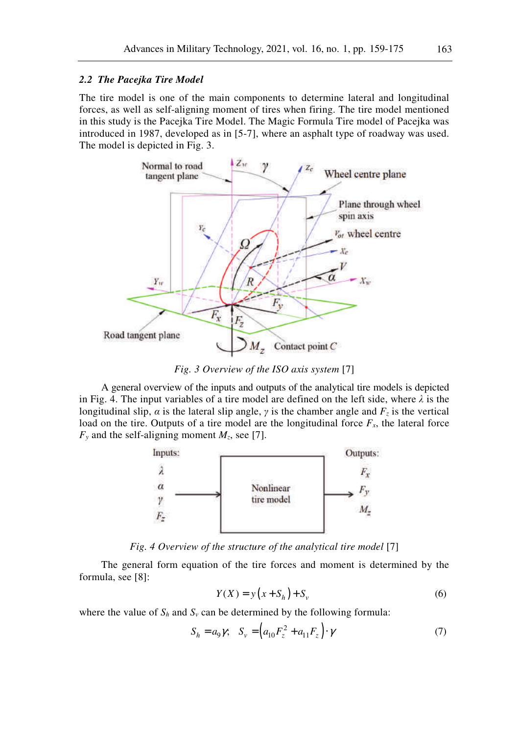#### *2.2 The Pacejka Tire Model*

The tire model is one of the main components to determine lateral and longitudinal forces, as well as self-aligning moment of tires when firing. The tire model mentioned in this study is the Pacejka Tire Model. The Magic Formula Tire model of Pacejka was introduced in 1987, developed as in [5-7], where an asphalt type of roadway was used. The model is depicted in Fig. 3.



*Fig. 3 Overview of the ISO axis system* [7]

A general overview of the inputs and outputs of the analytical tire models is depicted in Fig. 4. The input variables of a tire model are defined on the left side, where  $\lambda$  is the longitudinal slip, *α* is the lateral slip angle, *γ* is the chamber angle and  $F_z$  is the vertical load on the tire. Outputs of a tire model are the longitudinal force  $F<sub>x</sub>$ , the lateral force  $F<sub>y</sub>$  and the self-aligning moment  $M<sub>z</sub>$ , see [7].



*Fig. 4 Overview of the structure of the analytical tire model* [7]

The general form equation of the tire forces and moment is determined by the formula, see [8]:

$$
Y(X) = y(x + S_h) + S_v
$$
 (6)

where the value of  $S_h$  and  $S_v$  can be determined by the following formula:

$$
S_h = a_9 \gamma; \quad S_v = \left(a_{10} F_z^2 + a_{11} F_z\right) \cdot \gamma \tag{7}
$$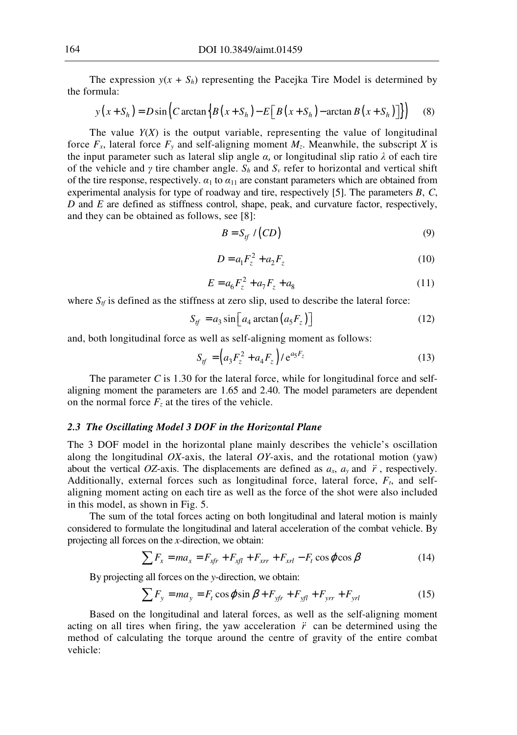The expression  $y(x + S_h)$  representing the Pacejka Tire Model is determined by the formula:

$$
y(x+S_h) = D\sin\left(C\arctan\left\{B\left(x+S_h\right) - E\left[B\left(x+S_h\right) - \arctan\left(B\left(x+S_h\right)\right)\right]\right\}\right) \tag{8}
$$

The value  $Y(X)$  is the output variable, representing the value of longitudinal force  $F_x$ , lateral force  $F_y$  and self-aligning moment  $M_z$ . Meanwhile, the subscript *X* is the input parameter such as lateral slip angle *α*, or longitudinal slip ratio *λ* of each tire of the vehicle and *γ* tire chamber angle.  $S_h$  and  $S_v$  refer to horizontal and vertical shift of the tire response, respectively. *α*1 to *α*11 are constant parameters which are obtained from experimental analysis for type of roadway and tire, respectively [5]. The parameters *B*, *C*, *D* and *E* are defined as stiffness control, shape, peak, and curvature factor, respectively, and they can be obtained as follows, see [8]:

$$
B = S_{tf} / (CD) \tag{9}
$$

$$
D = a_1 F_z^2 + a_2 F_z \tag{10}
$$

$$
E = a_6 F_z^2 + a_7 F_z + a_8 \tag{11}
$$

where  $S_t$  is defined as the stiffness at zero slip, used to describe the lateral force:

$$
S_{tf} = a_3 \sin \left[ a_4 \arctan \left( a_5 F_z \right) \right] \tag{12}
$$

and, both longitudinal force as well as self-aligning moment as follows:

$$
S_{tf} = \left(a_3 F_z^2 + a_4 F_z\right) / e^{a_5 F_z} \tag{13}
$$

The parameter *C* is 1.30 for the lateral force, while for longitudinal force and selfaligning moment the parameters are 1.65 and 2.40. The model parameters are dependent on the normal force  $F_z$  at the tires of the vehicle.

## *2.3 The Oscillating Model 3 DOF in the Horizontal Plane*

The 3 DOF model in the horizontal plane mainly describes the vehicle's oscillation along the longitudinal *OX*-axis, the lateral *OY*-axis, and the rotational motion (yaw) about the vertical *OZ*-axis. The displacements are defined as  $a_x$ ,  $a_y$  and  $\ddot{r}$ , respectively. Additionally, external forces such as longitudinal force, lateral force, *Ft*, and selfaligning moment acting on each tire as well as the force of the shot were also included in this model, as shown in Fig. 5.

The sum of the total forces acting on both longitudinal and lateral motion is mainly considered to formulate the longitudinal and lateral acceleration of the combat vehicle. By projecting all forces on the *x*-direction, we obtain:

$$
\sum F_x = ma_x = F_{xfr} + F_{xfl} + F_{xrr} + F_{xrl} - F_t \cos \varphi \cos \beta \tag{14}
$$

By projecting all forces on the *y*-direction, we obtain:

$$
\sum F_y = ma_y = F_t \cos\varphi \sin\beta + F_{yfr} + F_{yfl} + F_{yrr} + F_{yrl}
$$
 (15)

Based on the longitudinal and lateral forces, as well as the self-aligning moment acting on all tires when firing, the yaw acceleration  $\ddot{r}$  can be determined using the method of calculating the torque around the centre of gravity of the entire combat vehicle: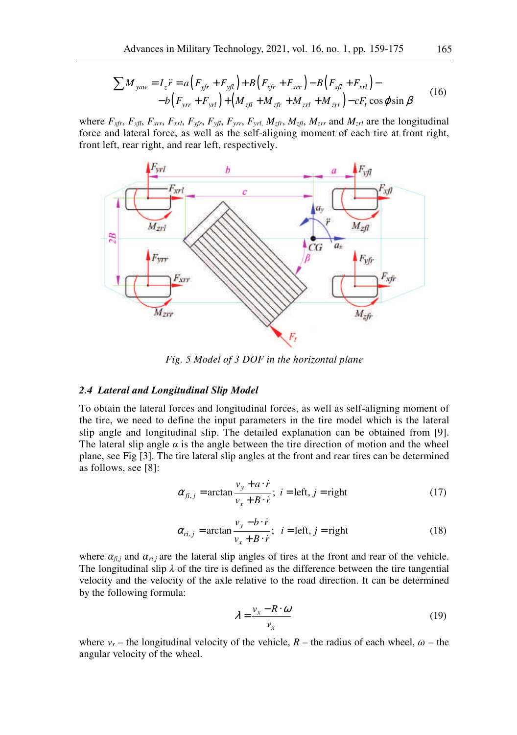$$
\sum M_{yaw} = I_z \ddot{r} = a (F_{yfr} + F_{yfl}) + B (F_{xfr} + F_{xrr}) - B (F_{xfl} + F_{xrl}) -
$$
  
- b (F\_{yrr} + F\_{yrl}) + (M\_{zfl} + M\_{zfr} + M\_{zrl} + M\_{zrr}) - cF\_t \cos \varphi \sin \beta (16)

where  $F_{xfr}$ ,  $F_{xfl}$ ,  $F_{xrr}$ ,  $F_{xrl}$ ,  $F_{yfr}$ ,  $F_{yfl}$ ,  $F_{yrr}$ ,  $F_{yrl}$ ,  $M_{zfr}$ ,  $M_{zfl}$ ,  $M_{zrr}$  and  $M_{zrl}$  are the longitudinal force and lateral force, as well as the self-aligning moment of each tire at front right, front left, rear right, and rear left, respectively.



*Fig. 5 Model of 3 DOF in the horizontal plane* 

#### *2.4 Lateral and Longitudinal Slip Model*

To obtain the lateral forces and longitudinal forces, as well as self-aligning moment of the tire, we need to define the input parameters in the tire model which is the lateral slip angle and longitudinal slip. The detailed explanation can be obtained from [9]. The lateral slip angle  $\alpha$  is the angle between the tire direction of motion and the wheel plane, see Fig [3]. The tire lateral slip angles at the front and rear tires can be determined as follows, see [8]:

$$
\alpha_{fi,j} = \arctan \frac{v_y + a \cdot \dot{r}}{v_x + B \cdot \dot{r}}; \ i = left, j = right \tag{17}
$$

$$
\alpha_{ri,j} = \arctan \frac{v_y - b \cdot \dot{r}}{v_x + B \cdot \dot{r}}; \quad i = \text{left}, j = \text{right}
$$
 (18)

where  $\alpha_{fi,j}$  and  $\alpha_{ri,j}$  are the lateral slip angles of tires at the front and rear of the vehicle. The longitudinal slip  $\lambda$  of the tire is defined as the difference between the tire tangential velocity and the velocity of the axle relative to the road direction. It can be determined by the following formula:

$$
\lambda = \frac{v_x - R \cdot \omega}{v_x} \tag{19}
$$

where  $v_x$  – the longitudinal velocity of the vehicle,  $R$  – the radius of each wheel,  $\omega$  – the angular velocity of the wheel.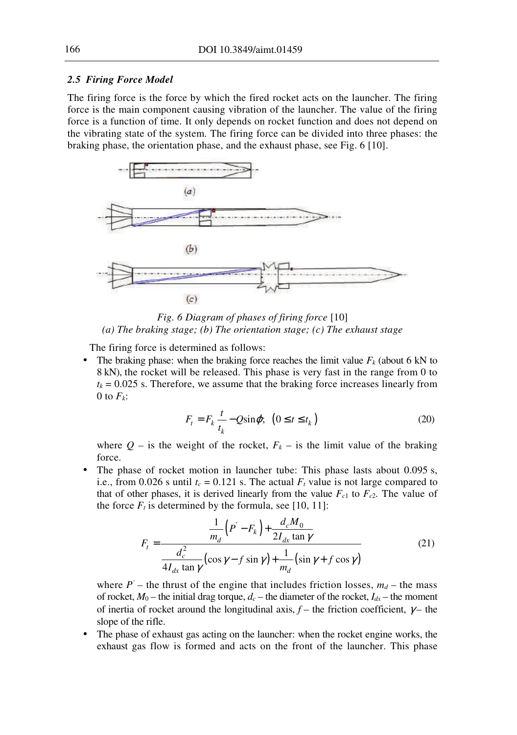#### *2.5 Firing Force Model*

The firing force is the force by which the fired rocket acts on the launcher. The firing force is the main component causing vibration of the launcher. The value of the firing force is a function of time. It only depends on rocket function and does not depend on the vibrating state of the system. The firing force can be divided into three phases: the braking phase, the orientation phase, and the exhaust phase, see Fig. 6 [10].



*Fig. 6 Diagram of phases of firing force* [10] *(a) The braking stage; (b) The orientation stage; (c) The exhaust stage* 

The firing force is determined as follows:

The braking phase: when the braking force reaches the limit value  $F_k$  (about 6 kN to 8 kN), the rocket will be released. This phase is very fast in the range from 0 to  $t_k$  = 0.025 s. Therefore, we assume that the braking force increases linearly from 0 to  $F_k$ :

$$
F_t = F_k \frac{t}{t_k} - Q \sin \varphi; \ \ (0 \le t \le t_k)
$$
 (20)

where  $Q$  – is the weight of the rocket,  $F_k$  – is the limit value of the braking force.

The phase of rocket motion in launcher tube: This phase lasts about 0.095 s, i.e., from 0.026 s until  $t_c = 0.121$  s. The actual  $F_t$  value is not large compared to that of other phases, it is derived linearly from the value  $F_{c1}$  to  $F_{c2}$ . The value of the force  $F_t$  is determined by the formula, see [10, 11]:

$$
F_t = \frac{\frac{1}{m_d} (P' - F_k) + \frac{d_c M_0}{2I_{dx} \tan \gamma}}{\frac{d_c^2}{4I_{dx} \tan \gamma} (\cos \gamma - f \sin \gamma) + \frac{1}{m_d} (\sin \gamma + f \cos \gamma)}
$$
(21)

where  $P'$  – the thrust of the engine that includes friction losses,  $m_d$  – the mass of rocket,  $M_0$  – the initial drag torque,  $d_c$  – the diameter of the rocket,  $I_{dx}$  – the moment of inertia of rocket around the longitudinal axis,  $f$  – the friction coefficient,  $\gamma$  – the slope of the rifle.

The phase of exhaust gas acting on the launcher: when the rocket engine works, the exhaust gas flow is formed and acts on the front of the launcher. This phase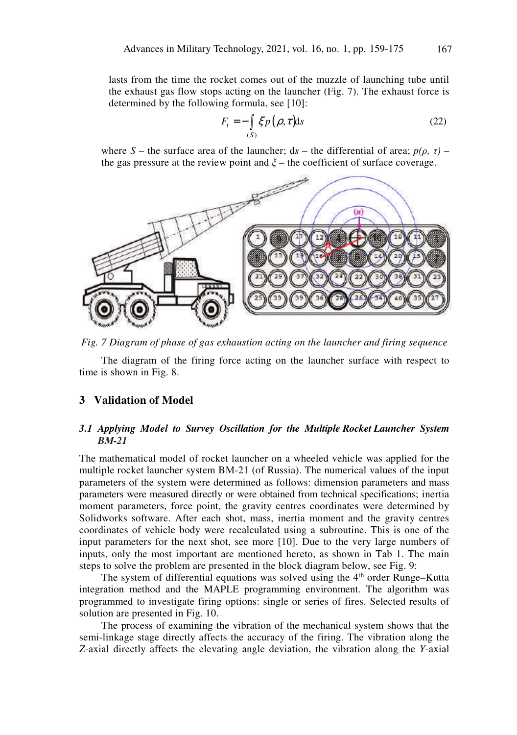lasts from the time the rocket comes out of the muzzle of launching tube until the exhaust gas flow stops acting on the launcher (Fig. 7). The exhaust force is determined by the following formula, see [10]:

$$
F_t = -\int_{(S)} \xi p(\rho, \tau) \mathrm{d}s \tag{22}
$$

where *S* – the surface area of the launcher;  $ds$  – the differential of area;  $p(\rho, \tau)$  – the gas pressure at the review point and  $\xi$  – the coefficient of surface coverage.



*Fig. 7 Diagram of phase of gas exhaustion acting on the launcher and firing sequence* 

The diagram of the firing force acting on the launcher surface with respect to time is shown in Fig. 8.

#### **3 Validation of Model**

#### *3.1 Applying Model to Survey Oscillation for the Multiple Rocket Launcher System BМ-21*

The mathematical model of rocket launcher on a wheeled vehicle was applied for the multiple rocket launcher system BМ-21 (of Russia). The numerical values of the input parameters of the system were determined as follows: dimension parameters and mass parameters were measured directly or were obtained from technical specifications; inertia moment parameters, force point, the gravity centres coordinates were determined by Solidworks software. After each shot, mass, inertia moment and the gravity centres coordinates of vehicle body were recalculated using a subroutine. This is one of the input parameters for the next shot, see more [10]. Due to the very large numbers of inputs, only the most important are mentioned hereto, as shown in Tab 1. The main steps to solve the problem are presented in the block diagram below, see Fig. 9:

The system of differential equations was solved using the  $4<sup>th</sup>$  order Runge–Kutta integration method and the MAPLE programming environment. The algorithm was programmed to investigate firing options: single or series of fires. Selected results of solution are presented in Fig. 10.

The process of examining the vibration of the mechanical system shows that the semi-linkage stage directly affects the accuracy of the firing. The vibration along the *Z*-axial directly affects the elevating angle deviation, the vibration along the *Y*-axial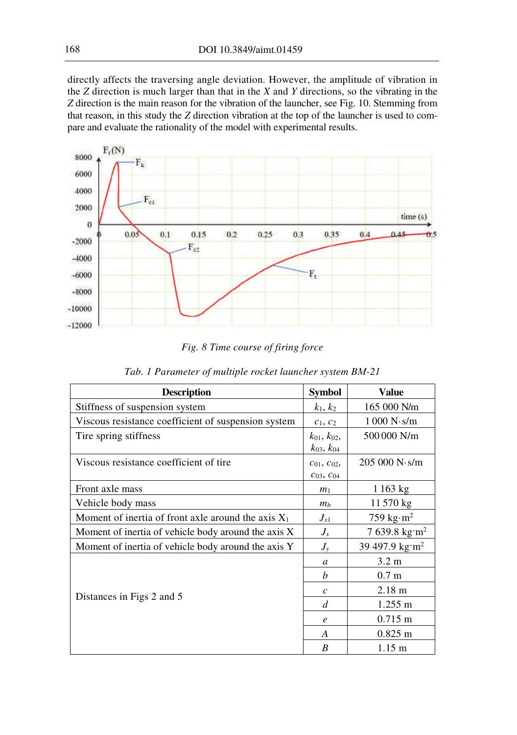directly affects the traversing angle deviation. However, the amplitude of vibration in the *Z* direction is much larger than that in the *X* and *Y* directions, so the vibrating in the *Z* direction is the main reason for the vibration of the launcher, see Fig. 10. Stemming from that reason, in this study the *Z* direction vibration at the top of the launcher is used to compare and evaluate the rationality of the model with experimental results.



*Fig. 8 Time course of firing force* 

| <b>Description</b>                                    | <b>Symbol</b>         | <b>Value</b>                  |  |
|-------------------------------------------------------|-----------------------|-------------------------------|--|
| Stiffness of suspension system                        | $k_1, k_2$            | 165 000 N/m                   |  |
| Viscous resistance coefficient of suspension system   | $c_1, c_2$            | 1000 N·s/m                    |  |
| Tire spring stiffness                                 | $k_{01}$ , $k_{02}$ , | 500 000 N/m                   |  |
|                                                       | $k_{03}$ , $k_{04}$   |                               |  |
| Viscous resistance coefficient of tire                | $c_{01}, c_{02},$     | 205000 N·s/m                  |  |
|                                                       | $C_{03}, C_{04}$      |                               |  |
| Front axle mass                                       | m <sub>1</sub>        | 1163 kg                       |  |
| Vehicle body mass                                     | m <sub>b</sub>        | 11570 kg                      |  |
| Moment of inertia of front axle around the axis $X_1$ | $J_{x1}$              | 759 kg $\cdot$ m <sup>2</sup> |  |
| Moment of inertia of vehicle body around the axis X   | $J_x$                 | $7639.8$ kg·m <sup>2</sup>    |  |
| Moment of inertia of vehicle body around the axis Y   | $J_{\rm y}$           | 39 497.9 kg·m <sup>2</sup>    |  |
|                                                       | $\mathfrak{a}$        | $3.2 \text{ m}$               |  |
|                                                       | b                     | 0.7 <sub>m</sub>              |  |
|                                                       | $\mathcal{C}$         | $2.18 \text{ m}$              |  |
| Distances in Figs 2 and 5                             | d                     | $1.255 \text{ m}$             |  |
|                                                       | $\boldsymbol{e}$      | $0.715 \text{ m}$             |  |
|                                                       | A                     | $0.825 \; m$                  |  |
|                                                       | B                     | $1.15 \text{ m}$              |  |

| Tab. 1 Parameter of multiple rocket launcher system BM-21 |  |  |  |  |  |  |  |  |  |
|-----------------------------------------------------------|--|--|--|--|--|--|--|--|--|
|-----------------------------------------------------------|--|--|--|--|--|--|--|--|--|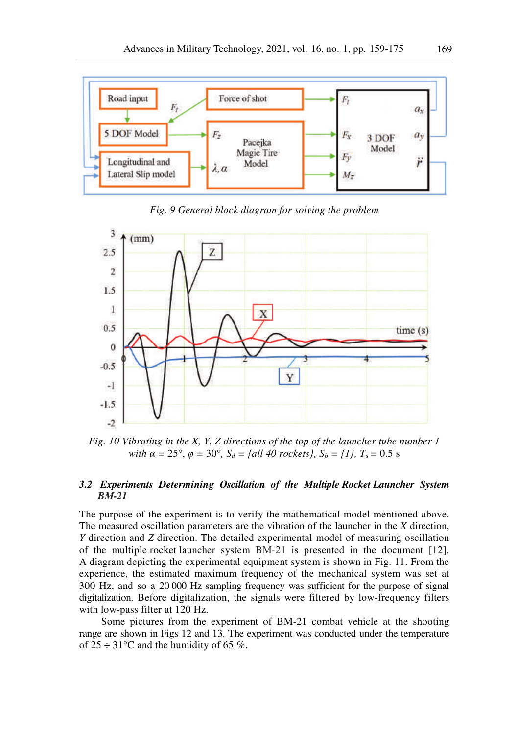

*Fig. 9 General block diagram for solving the problem* 



*Fig. 10 Vibrating in the X, Y, Z directions of the top of the launcher tube number 1 with*  $\alpha = 25^{\circ}, \varphi = 30^{\circ}, S_d = \{all 40 \text{ rockets}\}, S_b = \{1\}, T_s = 0.5 \text{ s}$ 

### *3.2 Experiments Determining Oscillation of the Multiple Rocket Launcher System BМ-21*

The purpose of the experiment is to verify the mathematical model mentioned above. The measured oscillation parameters are the vibration of the launcher in the *X* direction, *Y* direction and *Z* direction. The detailed experimental model of measuring oscillation of the multiple rocket launcher system BМ-21 is presented in the document [12]. A diagram depicting the experimental equipment system is shown in Fig. 11. From the experience, the estimated maximum frequency of the mechanical system was set at 300 Hz, and so a 20 000 Hz sampling frequency was sufficient for the purpose of signal digitalization. Before digitalization, the signals were filtered by low-frequency filters with low-pass filter at 120 Hz.

Some pictures from the experiment of BM-21 combat vehicle at the shooting range are shown in Figs 12 and 13. The experiment was conducted under the temperature of  $25 \div 31^{\circ}$ C and the humidity of 65 %.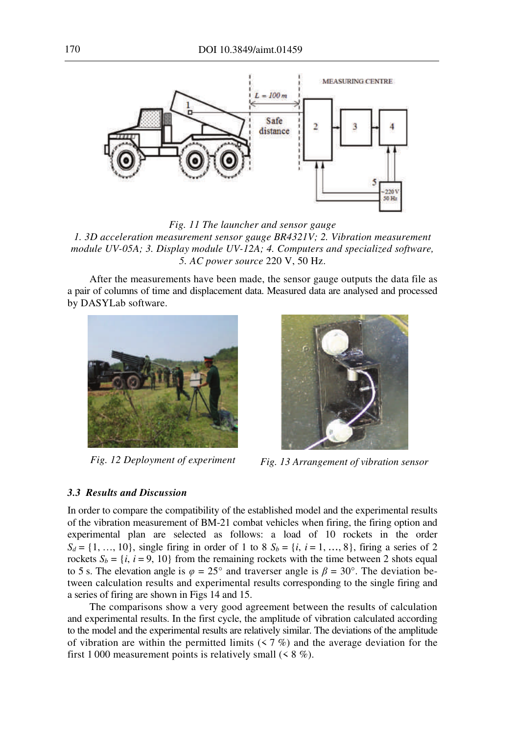

*Fig. 11 The launcher and sensor gauge* 

*1. 3D acceleration measurement sensor gauge BR4321V; 2. Vibration measurement module UV-05A; 3. Display module UV-12A; 4. Computers and specialized software, 5. AC power source* 220 V, 50 Hz.

After the measurements have been made, the sensor gauge outputs the data file as a pair of columns of time and displacement data. Measured data are analysed and processed by DASYLab software.





*Fig. 12 Deployment of experiment Fig. 13 Arrangement of vibration sensor* 

#### *3.3 Results and Discussion*

In order to compare the compatibility of the established model and the experimental results of the vibration measurement of BM-21 combat vehicles when firing, the firing option and experimental plan are selected as follows: a load of 10 rockets in the order  $S_d = \{1, ..., 10\}$ , single firing in order of 1 to 8  $S_b = \{i, i = 1, ..., 8\}$ , firing a series of 2 rockets  $S_b = \{i, i = 9, 10\}$  from the remaining rockets with the time between 2 shots equal to 5 s. The elevation angle is  $\varphi = 25^{\circ}$  and traverser angle is  $\beta = 30^{\circ}$ . The deviation between calculation results and experimental results corresponding to the single firing and a series of firing are shown in Figs 14 and 15.

The comparisons show a very good agreement between the results of calculation and experimental results. In the first cycle, the amplitude of vibration calculated according to the model and the experimental results are relatively similar. The deviations of the amplitude of vibration are within the permitted limits  $(57\%)$  and the average deviation for the first 1 000 measurement points is relatively small  $($  < 8 %).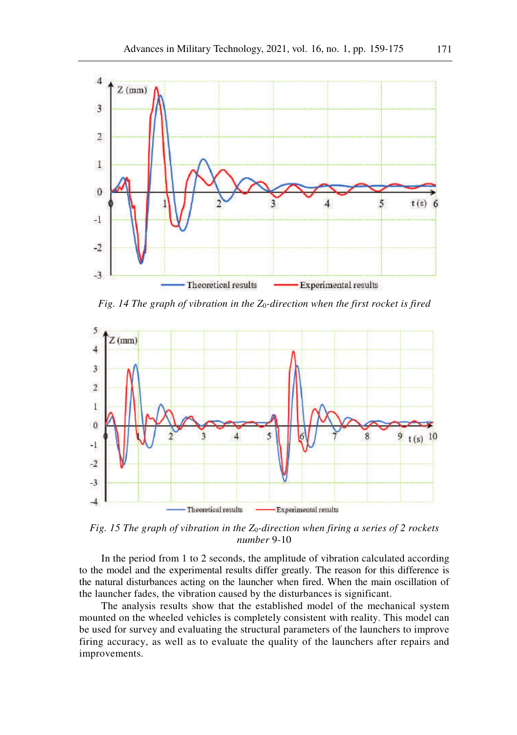

*Fig. 14 The graph of vibration in the Z*0*-direction when the first rocket is fired* 



*Fig. 15 The graph of vibration in the Z*0*-direction when firing a series of 2 rockets number* 9-10

In the period from 1 to 2 seconds, the amplitude of vibration calculated according to the model and the experimental results differ greatly. The reason for this difference is the natural disturbances acting on the launcher when fired. When the main oscillation of the launcher fades, the vibration caused by the disturbances is significant.

The analysis results show that the established model of the mechanical system mounted on the wheeled vehicles is completely consistent with reality. This model can be used for survey and evaluating the structural parameters of the launchers to improve firing accuracy, as well as to evaluate the quality of the launchers after repairs and improvements.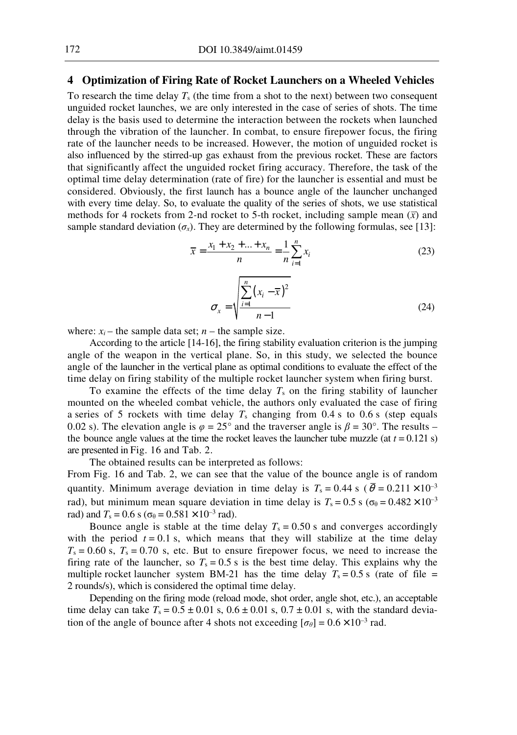# **4 Optimization of Firing Rate of Rocket Launchers on a Wheeled Vehicles**

To research the time delay *T*s (the time from a shot to the next) between two consequent unguided rocket launches, we are only interested in the case of series of shots. The time delay is the basis used to determine the interaction between the rockets when launched through the vibration of the launcher. In combat, to ensure firepower focus, the firing rate of the launcher needs to be increased. However, the motion of unguided rocket is also influenced by the stirred-up gas exhaust from the previous rocket. These are factors that significantly affect the unguided rocket firing accuracy. Therefore, the task of the optimal time delay determination (rate of fire) for the launcher is essential and must be considered. Obviously, the first launch has a bounce angle of the launcher unchanged with every time delay. So, to evaluate the quality of the series of shots, we use statistical methods for 4 rockets from 2-nd rocket to 5-th rocket, including sample mean  $(\bar{x})$  and sample standard deviation  $(\sigma_x)$ . They are determined by the following formulas, see [13]:

$$
\overline{x} = \frac{x_1 + x_2 + \dots + x_n}{n} = \frac{1}{n} \sum_{i=1}^n x_i
$$
\n(23)

$$
\sigma_x = \sqrt{\frac{\sum_{i=1}^{n} (x_i - \overline{x})^2}{n-1}}
$$
\n(24)

where:  $x_i$  – the sample data set;  $n$  – the sample size.

According to the article [14-16], the firing stability evaluation criterion is the jumping angle of the weapon in the vertical plane. So, in this study, we selected the bounce angle of the launcher in the vertical plane as optimal conditions to evaluate the effect of the time delay on firing stability of the multiple rocket launcher system when firing burst.

To examine the effects of the time delay  $T_s$  on the firing stability of launcher mounted on the wheeled combat vehicle, the authors only evaluated the case of firing a series of 5 rockets with time delay  $T_s$  changing from 0.4 s to 0.6 s (step equals 0.02 s). The elevation angle is  $\varphi = 25^{\circ}$  and the traverser angle is  $\beta = 30^{\circ}$ . The results – the bounce angle values at the time the rocket leaves the launcher tube muzzle (at  $t = 0.121$  s) are presented in Fig. 16 and Tab. 2.

The obtained results can be interpreted as follows:

From Fig. 16 and Tab. 2, we can see that the value of the bounce angle is of random quantity. Minimum average deviation in time delay is  $T_s = 0.44$  s ( $\bar{\theta} = 0.211 \times 10^{-3}$ rad), but minimum mean square deviation in time delay is  $T_s = 0.5$  s ( $\sigma_\theta = 0.482 \times 10^{-3}$ ) rad) and  $T_s = 0.6$  s ( $\sigma_\theta = 0.581 \times 10^{-3}$  rad).

Bounce angle is stable at the time delay  $T_s = 0.50$  s and converges accordingly with the period  $t = 0.1$  s, which means that they will stabilize at the time delay  $T_s = 0.60$  s,  $T_s = 0.70$  s, etc. But to ensure firepower focus, we need to increase the firing rate of the launcher, so  $T_s = 0.5$  s is the best time delay. This explains why the multiple rocket launcher system BM-21 has the time delay  $T_s = 0.5$  s (rate of file = 2 rounds/s), which is considered the optimal time delay.

Depending on the firing mode (reload mode, shot order, angle shot, etc.), an acceptable time delay can take  $T_s = 0.5 \pm 0.01$  s,  $0.6 \pm 0.01$  s,  $0.7 \pm 0.01$  s, with the standard deviation of the angle of bounce after 4 shots not exceeding  $[\sigma_{\theta}] = 0.6 \times 10^{-3}$  rad.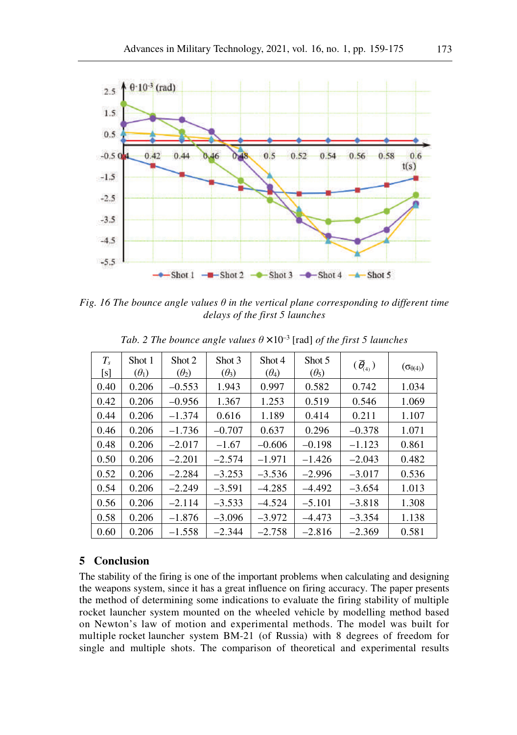

*Fig. 16 The bounce angle values*  $\theta$  *in the vertical plane corresponding to different time delays of the first 5 launches* 

| $T_{s}$<br>[s] | Shot 1<br>$(\theta_1)$ | Shot 2<br>$(\theta_2)$ | Shot 3<br>$(\theta_3)$ | Shot 4<br>$(\theta_4)$ | Shot 5<br>$(\theta_5)$ | $(\bar{\theta}_{(4)})$ | $(\sigma_{\theta(4)})$ |
|----------------|------------------------|------------------------|------------------------|------------------------|------------------------|------------------------|------------------------|
| 0.40           | 0.206                  | $-0.553$               | 1.943                  | 0.997                  | 0.582                  | 0.742                  | 1.034                  |
| 0.42           | 0.206                  | $-0.956$               | 1.367                  | 1.253                  | 0.519                  | 0.546                  | 1.069                  |
| 0.44           | 0.206                  | $-1.374$               | 0.616                  | 1.189                  | 0.414                  | 0.211                  | 1.107                  |
| 0.46           | 0.206                  | $-1.736$               | $-0.707$               | 0.637                  | 0.296                  | $-0.378$               | 1.071                  |
| 0.48           | 0.206                  | $-2.017$               | $-1.67$                | $-0.606$               | $-0.198$               | $-1.123$               | 0.861                  |
| 0.50           | 0.206                  | $-2.201$               | $-2.574$               | $-1.971$               | $-1.426$               | $-2.043$               | 0.482                  |
| 0.52           | 0.206                  | $-2.284$               | $-3.253$               | $-3.536$               | $-2.996$               | $-3.017$               | 0.536                  |
| 0.54           | 0.206                  | $-2.249$               | $-3.591$               | $-4.285$               | $-4.492$               | $-3.654$               | 1.013                  |
| 0.56           | 0.206                  | $-2.114$               | $-3.533$               | $-4.524$               | $-5.101$               | $-3.818$               | 1.308                  |
| 0.58           | 0.206                  | $-1.876$               | $-3.096$               | $-3.972$               | $-4.473$               | $-3.354$               | 1.138                  |
| 0.60           | 0.206                  | $-1.558$               | $-2.344$               | $-2.758$               | $-2.816$               | $-2.369$               | 0.581                  |

*Tab. 2 The bounce angle values*  $\theta \times 10^{-3}$  [rad] *of the first 5 launches* 

## **5 Conclusion**

The stability of the firing is one of the important problems when calculating and designing the weapons system, since it has a great influence on firing accuracy. The paper presents the method of determining some indications to evaluate the firing stability of multiple rocket launcher system mounted on the wheeled vehicle by modelling method based on Newton's law of motion and experimental methods. The model was built for multiple rocket launcher system BМ-21 (of Russia) with 8 degrees of freedom for single and multiple shots. The comparison of theoretical and experimental results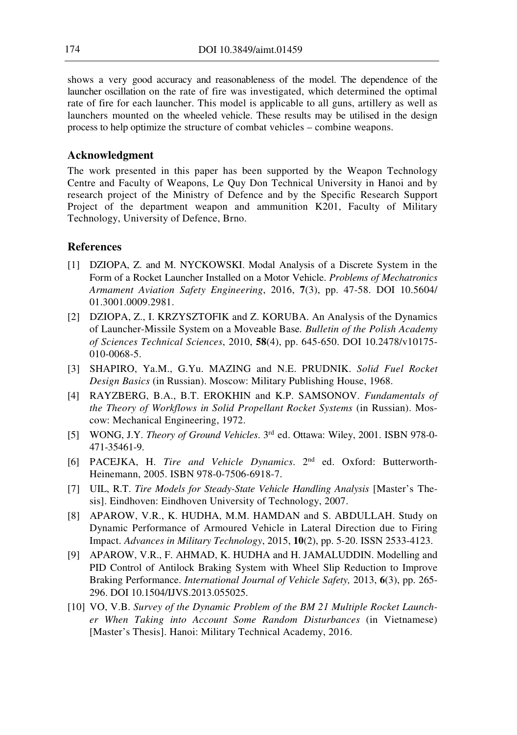shows a very good accuracy and reasonableness of the model. The dependence of the launcher oscillation on the rate of fire was investigated, which determined the optimal rate of fire for each launcher. This model is applicable to all guns, artillery as well as launchers mounted on the wheeled vehicle. These results may be utilised in the design process to help optimize the structure of combat vehicles – combine weapons.

## **Acknowledgment**

The work presented in this paper has been supported by the Weapon Technology Centre and Faculty of Weapons, Le Quy Don Technical University in Hanoi and by research project of the Ministry of Defence and by the Specific Research Support Project of the department weapon and ammunition K201, Faculty of Military Technology, University of Defence, Brno.

## **References**

- [1] DZIOPA, Z. and M. NYCKOWSKI. Modal Analysis of a Discrete System in the Form of a Rocket Launcher Installed on a Motor Vehicle. *Problems of Mechatronics Armament Aviation Safety Engineering*, 2016, **7**(3), pp. 47-58. DOI 10.5604/ 01.3001.0009.2981.
- [2] DZIOPA, Z., I. KRZYSZTOFIK and Z. KORUBA. An Analysis of the Dynamics of Launcher-Missile System on a Moveable Base*. Bulletin of the Polish Academy of Sciences Technical Sciences*, 2010, **58**(4), pp. 645-650. DOI 10.2478/v10175- 010-0068-5.
- [3] SHAPIRO, Ya.M., G.Yu. MAZING and N.E. PRUDNIK. *Solid Fuel Rocket Design Basics* (in Russian). Moscow: Military Publishing House, 1968.
- [4] RAYZBERG, B.A., B.T. EROKHIN and K.P. SAMSONOV. *Fundamentals of the Theory of Workflows in Solid Propellant Rocket Systems* (in Russian). Moscow: Mechanical Engineering, 1972.
- [5] WONG, J.Y. *Theory of Ground Vehicles*. 3rd ed. Ottawa: Wiley, 2001. ISBN 978-0- 471-35461-9.
- [6] PACEJKA, H. *Tire and Vehicle Dynamics*. 2nd ed. Oxford: Butterworth-Heinemann, 2005. ISBN 978-0-7506-6918-7.
- [7] UIL, R.T. *Tire Models for Steady-State Vehicle Handling Analysis* [Master's Thesis]. Eindhoven: Eindhoven University of Technology, 2007.
- [8] APAROW, V.R., K. HUDHA, M.M. HAMDAN and S. ABDULLAH. Study on Dynamic Performance of Armoured Vehicle in Lateral Direction due to Firing Impact. *Advances in Military Technology*, 2015, **10**(2), pp. 5-20. ISSN 2533-4123.
- [9] APAROW, V.R., F. AHMAD, K. HUDHA and H. JAMALUDDIN. Modelling and PID Control of Antilock Braking System with Wheel Slip Reduction to Improve Braking Performance. *International Journal of Vehicle Safety,* 2013, **6**(3), pp. 265- 296. DOI 10.1504/IJVS.2013.055025.
- [10] VO, V.B. *Survey of the Dynamic Problem of the BM 21 Multiple Rocket Launcher When Taking into Account Some Random Disturbances* (in Vietnamese) [Master's Thesis]. Hanoi: Military Technical Academy, 2016.